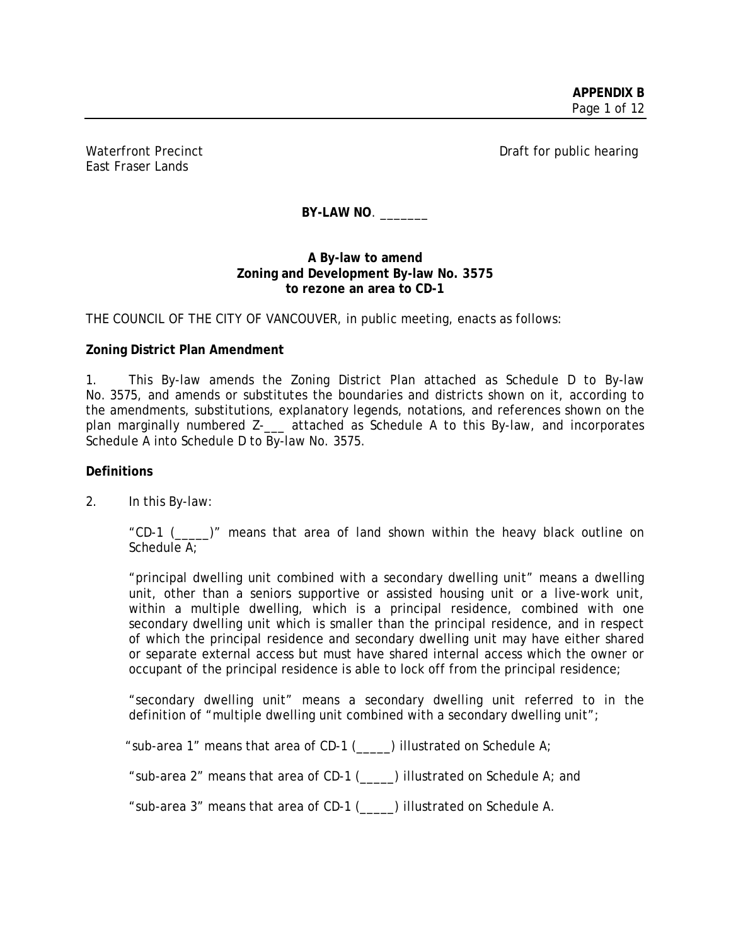East Fraser Lands

Waterfront Precinct **Draft for public hearing** 

BY-LAW NO.

### **A By-law to amend Zoning and Development By-law No. 3575 to rezone an area to CD-1**

THE COUNCIL OF THE CITY OF VANCOUVER, in public meeting, enacts as follows:

# **Zoning District Plan Amendment**

1. This By-law amends the Zoning District Plan attached as Schedule D to By-law No. 3575, and amends or substitutes the boundaries and districts shown on it, according to the amendments, substitutions, explanatory legends, notations, and references shown on the plan marginally numbered Z-\_\_\_ attached as Schedule A to this By-law, and incorporates Schedule A into Schedule D to By-law No. 3575.

### **Definitions**

2. In this By-law:

"CD-1 (\_\_\_\_\_)" means that area of land shown within the heavy black outline on Schedule A;

"principal dwelling unit combined with a secondary dwelling unit" means a dwelling unit, other than a seniors supportive or assisted housing unit or a live-work unit, within a multiple dwelling, which is a principal residence, combined with one secondary dwelling unit which is smaller than the principal residence, and in respect of which the principal residence and secondary dwelling unit may have either shared or separate external access but must have shared internal access which the owner or occupant of the principal residence is able to lock off from the principal residence;

"secondary dwelling unit" means a secondary dwelling unit referred to in the definition of "multiple dwelling unit combined with a secondary dwelling unit";

"sub-area 1" means that area of CD-1 (\_\_\_\_\_) illustrated on Schedule A;

"sub-area 2" means that area of CD-1 (\_\_\_\_\_) illustrated on Schedule A; and

"sub-area 3" means that area of CD-1 (\_\_\_\_\_) illustrated on Schedule A.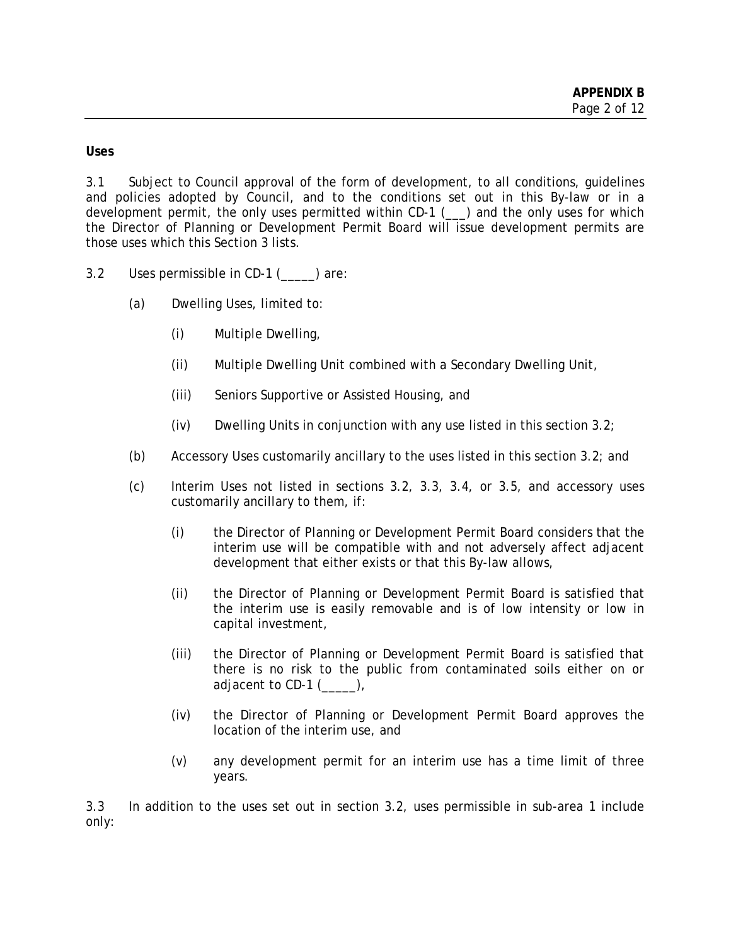**Uses** 

3.1 Subject to Council approval of the form of development, to all conditions, guidelines and policies adopted by Council, and to the conditions set out in this By-law or in a development permit, the only uses permitted within CD-1 (\_\_\_) and the only uses for which the Director of Planning or Development Permit Board will issue development permits are those uses which this Section 3 lists.

- 3.2 Uses permissible in CD-1 (\_\_\_\_\_) are:
	- (a) Dwelling Uses, limited to:
		- (i) Multiple Dwelling,
		- (ii) Multiple Dwelling Unit combined with a Secondary Dwelling Unit,
		- (iii) Seniors Supportive or Assisted Housing, and
		- (iv) Dwelling Units in conjunction with any use listed in this section 3.2;
	- (b) Accessory Uses customarily ancillary to the uses listed in this section 3.2; and
	- (c) Interim Uses not listed in sections 3.2, 3.3, 3.4, or 3.5, and accessory uses customarily ancillary to them, if:
		- (i) the Director of Planning or Development Permit Board considers that the interim use will be compatible with and not adversely affect adjacent development that either exists or that this By-law allows,
		- (ii) the Director of Planning or Development Permit Board is satisfied that the interim use is easily removable and is of low intensity or low in capital investment,
		- (iii) the Director of Planning or Development Permit Board is satisfied that there is no risk to the public from contaminated soils either on or adjacent to CD-1 (),
		- (iv) the Director of Planning or Development Permit Board approves the location of the interim use, and
		- (v) any development permit for an interim use has a time limit of three years.

3.3 In addition to the uses set out in section 3.2, uses permissible in sub-area 1 include only: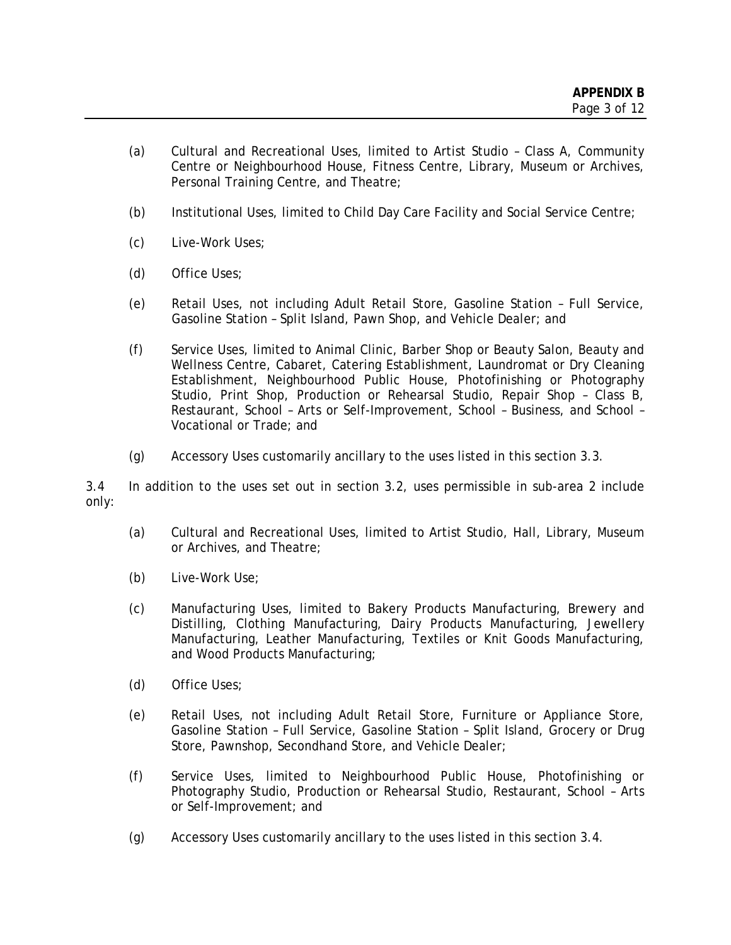- (a) Cultural and Recreational Uses, limited to Artist Studio Class A, Community Centre or Neighbourhood House, Fitness Centre, Library, Museum or Archives, Personal Training Centre, and Theatre;
- (b) Institutional Uses, limited to Child Day Care Facility and Social Service Centre;
- (c) Live-Work Uses;
- (d) Office Uses;
- (e) Retail Uses, not including Adult Retail Store, Gasoline Station Full Service, Gasoline Station – Split Island, Pawn Shop, and Vehicle Dealer; and
- (f) Service Uses, limited to Animal Clinic, Barber Shop or Beauty Salon, Beauty and Wellness Centre, Cabaret, Catering Establishment, Laundromat or Dry Cleaning Establishment, Neighbourhood Public House, Photofinishing or Photography Studio, Print Shop, Production or Rehearsal Studio, Repair Shop – Class B, Restaurant, School – Arts or Self-Improvement, School – Business, and School – Vocational or Trade; and
- (g) Accessory Uses customarily ancillary to the uses listed in this section 3.3.

3.4 In addition to the uses set out in section 3.2, uses permissible in sub-area 2 include only:

- (a) Cultural and Recreational Uses, limited to Artist Studio, Hall, Library, Museum or Archives, and Theatre;
- (b) Live-Work Use;
- (c) Manufacturing Uses, limited to Bakery Products Manufacturing, Brewery and Distilling, Clothing Manufacturing, Dairy Products Manufacturing, Jewellery Manufacturing, Leather Manufacturing, Textiles or Knit Goods Manufacturing, and Wood Products Manufacturing;
- (d) Office Uses;
- (e) Retail Uses, not including Adult Retail Store, Furniture or Appliance Store, Gasoline Station – Full Service, Gasoline Station – Split Island, Grocery or Drug Store, Pawnshop, Secondhand Store, and Vehicle Dealer;
- (f) Service Uses, limited to Neighbourhood Public House, Photofinishing or Photography Studio, Production or Rehearsal Studio, Restaurant, School – Arts or Self-Improvement; and
- (g) Accessory Uses customarily ancillary to the uses listed in this section 3.4.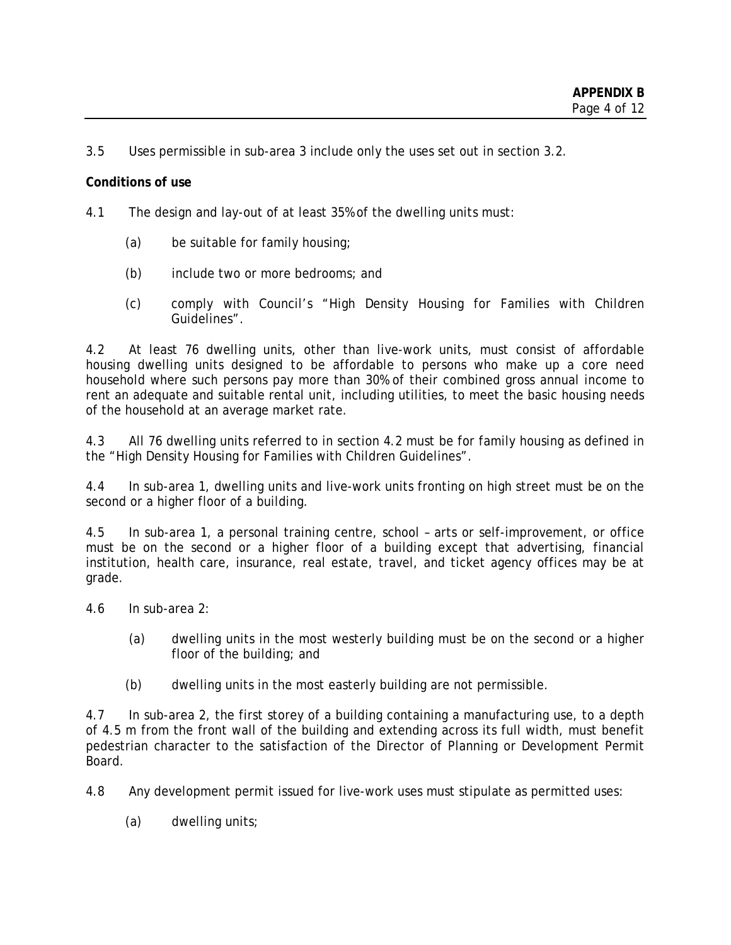3.5 Uses permissible in sub-area 3 include only the uses set out in section 3.2.

#### **Conditions of use**

- 4.1 The design and lay-out of at least 35% of the dwelling units must:
	- (a) be suitable for family housing;
	- (b) include two or more bedrooms; and
	- (c) comply with Council's "High Density Housing for Families with Children Guidelines".

4.2 At least 76 dwelling units, other than live-work units, must consist of affordable housing dwelling units designed to be affordable to persons who make up a core need household where such persons pay more than 30% of their combined gross annual income to rent an adequate and suitable rental unit, including utilities, to meet the basic housing needs of the household at an average market rate.

4.3 All 76 dwelling units referred to in section 4.2 must be for family housing as defined in the "High Density Housing for Families with Children Guidelines".

4.4 In sub-area 1, dwelling units and live-work units fronting on high street must be on the second or a higher floor of a building.

4.5 In sub-area 1, a personal training centre, school – arts or self-improvement, or office must be on the second or a higher floor of a building except that advertising, financial institution, health care, insurance, real estate, travel, and ticket agency offices may be at grade.

4.6 In sub-area 2:

- (a) dwelling units in the most westerly building must be on the second or a higher floor of the building; and
- (b) dwelling units in the most easterly building are not permissible.

4.7 In sub-area 2, the first storey of a building containing a manufacturing use, to a depth of 4.5 m from the front wall of the building and extending across its full width, must benefit pedestrian character to the satisfaction of the Director of Planning or Development Permit Board.

4.8 Any development permit issued for live-work uses must stipulate as permitted uses:

(a) dwelling units;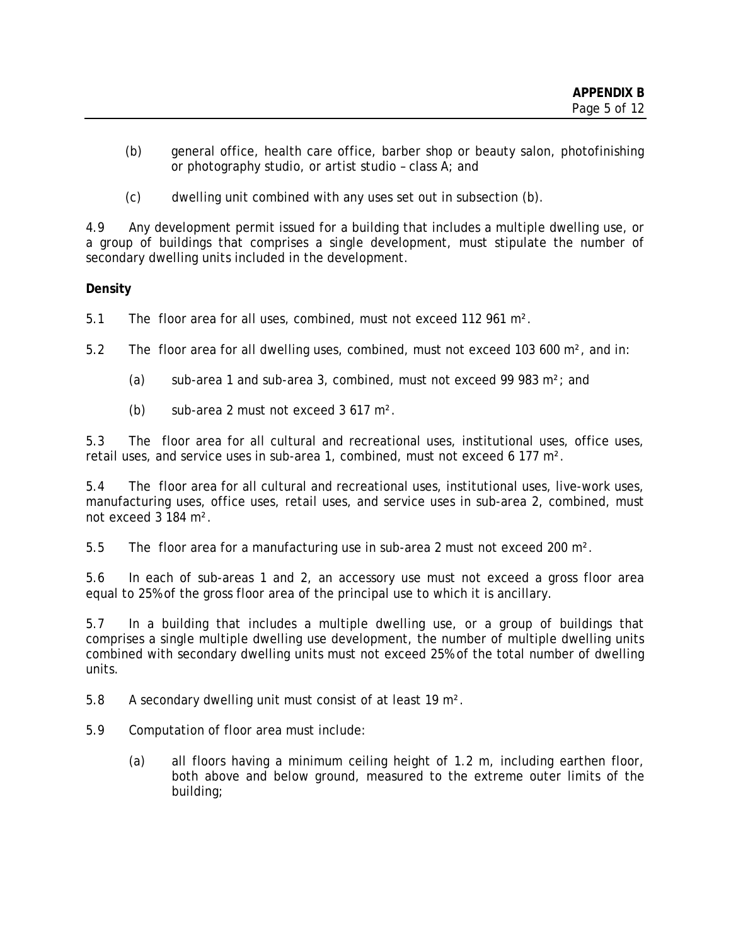- (b) general office, health care office, barber shop or beauty salon, photofinishing or photography studio, or artist studio – class A; and
- (c) dwelling unit combined with any uses set out in subsection (b).

4.9 Any development permit issued for a building that includes a multiple dwelling use, or a group of buildings that comprises a single development, must stipulate the number of secondary dwelling units included in the development.

# **Density**

5.1 The floor area for all uses, combined, must not exceed 112 961 m².

5.2 The floor area for all dwelling uses, combined, must not exceed 103 600 m², and in:

- (a) sub-area 1 and sub-area 3, combined, must not exceed 99 983  $m^2$ ; and
- (b) sub-area 2 must not exceed 3 617 m².

5.3 The floor area for all cultural and recreational uses, institutional uses, office uses, retail uses, and service uses in sub-area 1, combined, must not exceed 6 177 m².

5.4 The floor area for all cultural and recreational uses, institutional uses, live-work uses, manufacturing uses, office uses, retail uses, and service uses in sub-area 2, combined, must not exceed 3 184 m².

5.5 The floor area for a manufacturing use in sub-area 2 must not exceed 200 m².

5.6 In each of sub-areas 1 and 2, an accessory use must not exceed a gross floor area equal to 25% of the gross floor area of the principal use to which it is ancillary.

5.7 In a building that includes a multiple dwelling use, or a group of buildings that comprises a single multiple dwelling use development, the number of multiple dwelling units combined with secondary dwelling units must not exceed 25% of the total number of dwelling units.

5.8 A secondary dwelling unit must consist of at least 19 m².

- 5.9 Computation of floor area must include:
	- (a) all floors having a minimum ceiling height of 1.2 m, including earthen floor, both above and below ground, measured to the extreme outer limits of the building;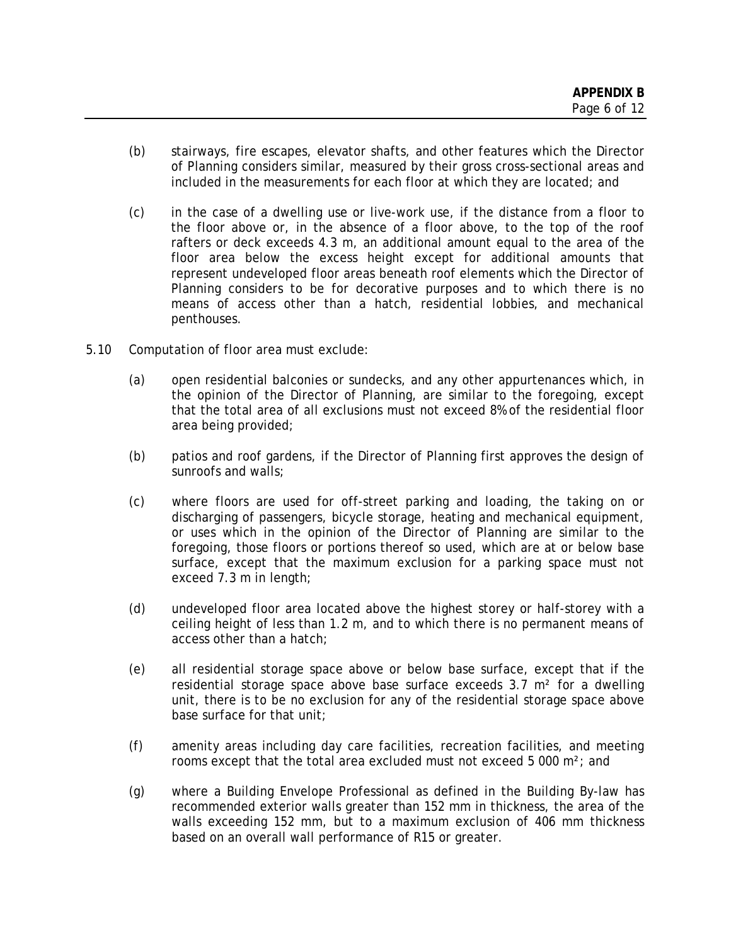- (b) stairways, fire escapes, elevator shafts, and other features which the Director of Planning considers similar, measured by their gross cross-sectional areas and included in the measurements for each floor at which they are located; and
- (c) in the case of a dwelling use or live-work use, if the distance from a floor to the floor above or, in the absence of a floor above, to the top of the roof rafters or deck exceeds 4.3 m, an additional amount equal to the area of the floor area below the excess height except for additional amounts that represent undeveloped floor areas beneath roof elements which the Director of Planning considers to be for decorative purposes and to which there is no means of access other than a hatch, residential lobbies, and mechanical penthouses.
- 5.10 Computation of floor area must exclude:
	- (a) open residential balconies or sundecks, and any other appurtenances which, in the opinion of the Director of Planning, are similar to the foregoing, except that the total area of all exclusions must not exceed 8% of the residential floor area being provided;
	- (b) patios and roof gardens, if the Director of Planning first approves the design of sunroofs and walls;
	- (c) where floors are used for off-street parking and loading, the taking on or discharging of passengers, bicycle storage, heating and mechanical equipment, or uses which in the opinion of the Director of Planning are similar to the foregoing, those floors or portions thereof so used, which are at or below base surface, except that the maximum exclusion for a parking space must not exceed 7.3 m in length;
	- (d) undeveloped floor area located above the highest storey or half-storey with a ceiling height of less than 1.2 m, and to which there is no permanent means of access other than a hatch;
	- (e) all residential storage space above or below base surface, except that if the residential storage space above base surface exceeds  $3.7 \text{ m}^2$  for a dwelling unit, there is to be no exclusion for any of the residential storage space above base surface for that unit;
	- (f) amenity areas including day care facilities, recreation facilities, and meeting rooms except that the total area excluded must not exceed 5 000 m²; and
	- (g) where a Building Envelope Professional as defined in the Building By-law has recommended exterior walls greater than 152 mm in thickness, the area of the walls exceeding 152 mm, but to a maximum exclusion of 406 mm thickness based on an overall wall performance of R15 or greater.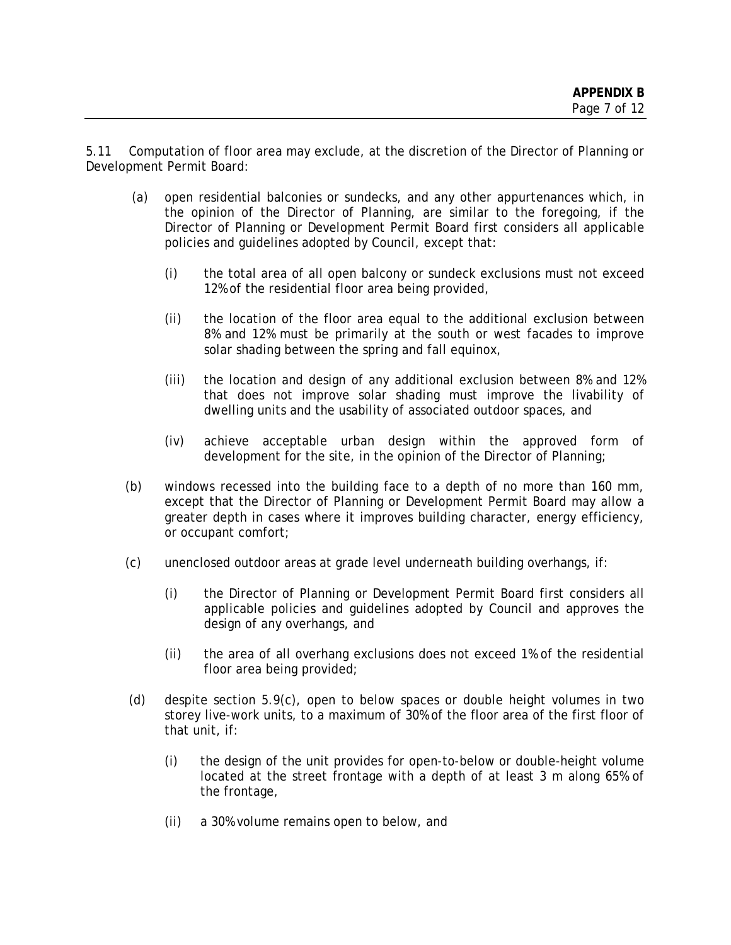5.11 Computation of floor area may exclude, at the discretion of the Director of Planning or Development Permit Board:

- (a) open residential balconies or sundecks, and any other appurtenances which, in the opinion of the Director of Planning, are similar to the foregoing, if the Director of Planning or Development Permit Board first considers all applicable policies and guidelines adopted by Council, except that:
	- (i) the total area of all open balcony or sundeck exclusions must not exceed 12% of the residential floor area being provided,
	- (ii) the location of the floor area equal to the additional exclusion between 8% and 12% must be primarily at the south or west facades to improve solar shading between the spring and fall equinox,
	- (iii) the location and design of any additional exclusion between 8% and 12% that does not improve solar shading must improve the livability of dwelling units and the usability of associated outdoor spaces, and
	- (iv) achieve acceptable urban design within the approved form of development for the site, in the opinion of the Director of Planning;
- (b) windows recessed into the building face to a depth of no more than 160 mm, except that the Director of Planning or Development Permit Board may allow a greater depth in cases where it improves building character, energy efficiency, or occupant comfort;
- (c) unenclosed outdoor areas at grade level underneath building overhangs, if:
	- (i) the Director of Planning or Development Permit Board first considers all applicable policies and guidelines adopted by Council and approves the design of any overhangs, and
	- (ii) the area of all overhang exclusions does not exceed 1% of the residential floor area being provided;
- (d) despite section 5.9(c), open to below spaces or double height volumes in two storey live-work units, to a maximum of 30% of the floor area of the first floor of that unit, if:
	- (i) the design of the unit provides for open-to-below or double-height volume located at the street frontage with a depth of at least 3 m along 65% of the frontage,
	- (ii) a 30% volume remains open to below, and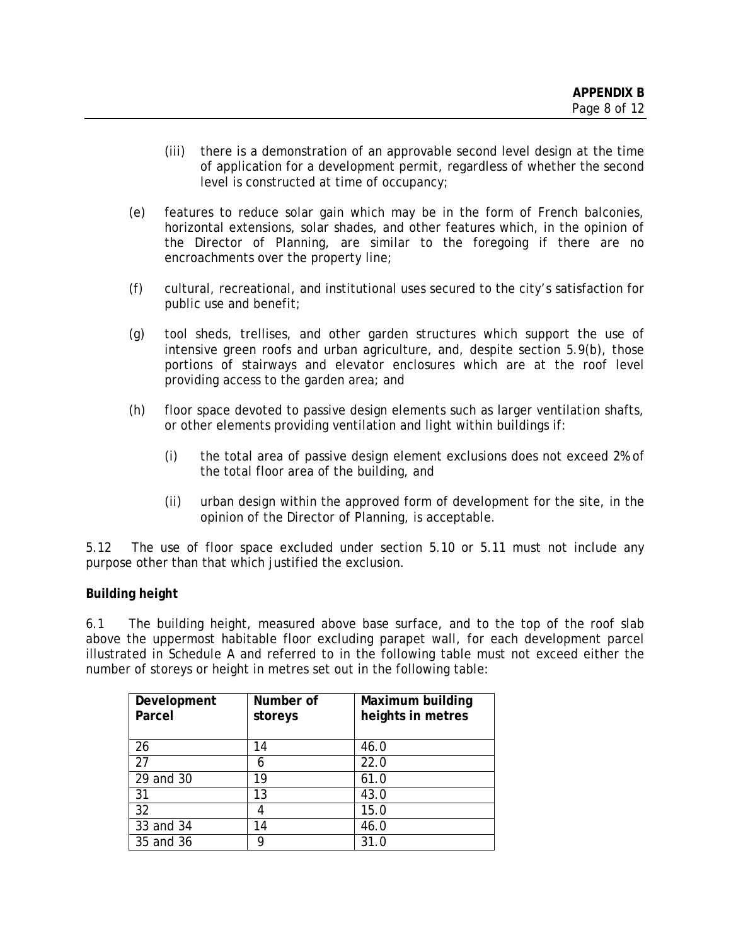- (iii) there is a demonstration of an approvable second level design at the time of application for a development permit, regardless of whether the second level is constructed at time of occupancy;
- (e) features to reduce solar gain which may be in the form of French balconies, horizontal extensions, solar shades, and other features which, in the opinion of the Director of Planning, are similar to the foregoing if there are no encroachments over the property line;
- (f) cultural, recreational, and institutional uses secured to the city's satisfaction for public use and benefit;
- (g) tool sheds, trellises, and other garden structures which support the use of intensive green roofs and urban agriculture, and, despite section 5.9(b), those portions of stairways and elevator enclosures which are at the roof level providing access to the garden area; and
- (h) floor space devoted to passive design elements such as larger ventilation shafts, or other elements providing ventilation and light within buildings if:
	- (i) the total area of passive design element exclusions does not exceed 2% of the total floor area of the building, and
	- (ii) urban design within the approved form of development for the site, in the opinion of the Director of Planning, is acceptable.

5.12 The use of floor space excluded under section 5.10 or 5.11 must not include any purpose other than that which justified the exclusion.

### **Building height**

6.1 The building height, measured above base surface, and to the top of the roof slab above the uppermost habitable floor excluding parapet wall, for each development parcel illustrated in Schedule A and referred to in the following table must not exceed either the number of storeys or height in metres set out in the following table:

| Development | Number of | Maximum building  |
|-------------|-----------|-------------------|
| Parcel      | storeys   | heights in metres |
|             |           |                   |
| 26          | 14        | 46.0              |
| 27          | 6         | 22.0              |
| 29 and 30   | 19        | 61.0              |
| 31          | 13        | 43.0              |
| 32          |           | 15.0              |
| 33 and 34   | 14        | 46.0              |
| 35 and 36   |           | 31.0              |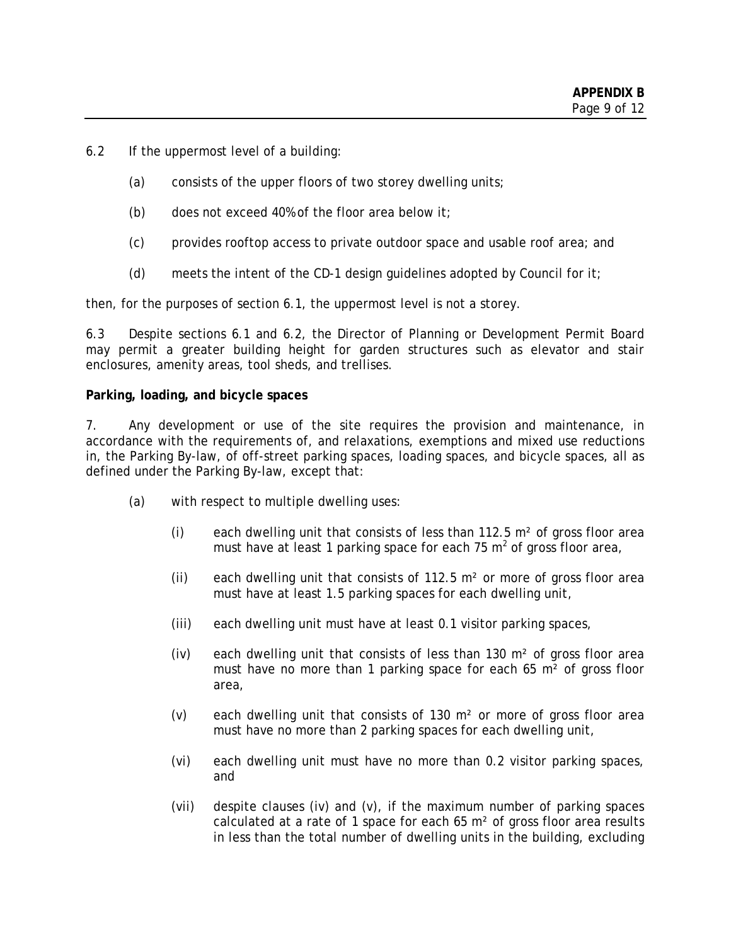- 6.2 If the uppermost level of a building:
	- (a) consists of the upper floors of two storey dwelling units;
	- (b) does not exceed 40% of the floor area below it;
	- (c) provides rooftop access to private outdoor space and usable roof area; and
	- (d) meets the intent of the CD-1 design quidelines adopted by Council for it;

then, for the purposes of section 6.1, the uppermost level is not a storey.

6.3 Despite sections 6.1 and 6.2, the Director of Planning or Development Permit Board may permit a greater building height for garden structures such as elevator and stair enclosures, amenity areas, tool sheds, and trellises.

#### **Parking, loading, and bicycle spaces**

7. Any development or use of the site requires the provision and maintenance, in accordance with the requirements of, and relaxations, exemptions and mixed use reductions in, the Parking By-law, of off-street parking spaces, loading spaces, and bicycle spaces, all as defined under the Parking By-law, except that:

- (a) with respect to multiple dwelling uses:
	- (i) each dwelling unit that consists of less than 112.5 m² of gross floor area must have at least 1 parking space for each 75  $m^2$  of gross floor area,
	- (ii) each dwelling unit that consists of 112.5  $m<sup>2</sup>$  or more of gross floor area must have at least 1.5 parking spaces for each dwelling unit,
	- (iii) each dwelling unit must have at least 0.1 visitor parking spaces,
	- (iv) each dwelling unit that consists of less than 130  $m<sup>2</sup>$  of gross floor area must have no more than 1 parking space for each 65 m<sup>2</sup> of gross floor area,
	- (v) each dwelling unit that consists of 130 m² or more of gross floor area must have no more than 2 parking spaces for each dwelling unit,
	- (vi) each dwelling unit must have no more than 0.2 visitor parking spaces, and
	- (vii) despite clauses (iv) and (v), if the maximum number of parking spaces calculated at a rate of 1 space for each 65 m² of gross floor area results in less than the total number of dwelling units in the building, excluding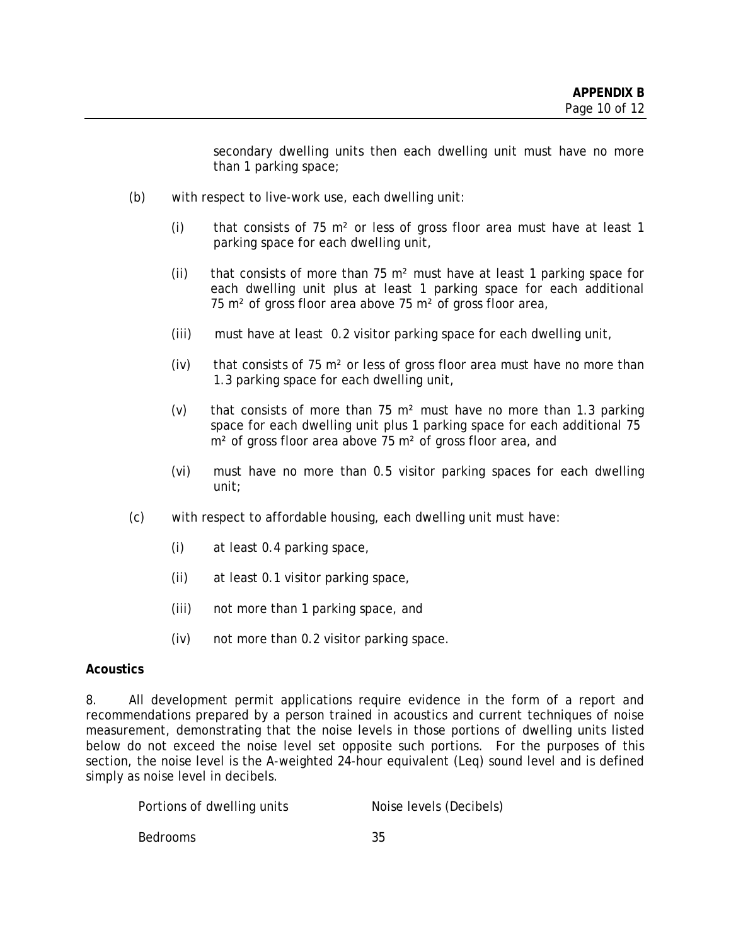secondary dwelling units then each dwelling unit must have no more than 1 parking space;

- (b) with respect to live-work use, each dwelling unit:
	- (i) that consists of 75  $m<sup>2</sup>$  or less of gross floor area must have at least 1 parking space for each dwelling unit,
	- (ii) that consists of more than 75  $m<sup>2</sup>$  must have at least 1 parking space for each dwelling unit plus at least 1 parking space for each additional 75 m<sup>2</sup> of gross floor area above 75 m<sup>2</sup> of gross floor area,
	- (iii) must have at least 0.2 visitor parking space for each dwelling unit,
	- (iv) that consists of 75  $m<sup>2</sup>$  or less of gross floor area must have no more than 1.3 parking space for each dwelling unit,
	- (v) that consists of more than 75 m² must have no more than 1.3 parking space for each dwelling unit plus 1 parking space for each additional 75 m<sup>2</sup> of gross floor area above 75 m<sup>2</sup> of gross floor area, and
	- (vi) must have no more than 0.5 visitor parking spaces for each dwelling unit;
- (c) with respect to affordable housing, each dwelling unit must have:
	- (i) at least 0.4 parking space,
	- (ii) at least 0.1 visitor parking space,
	- (iii) not more than 1 parking space, and
	- (iv) not more than 0.2 visitor parking space.

### **Acoustics**

8. All development permit applications require evidence in the form of a report and recommendations prepared by a person trained in acoustics and current techniques of noise measurement, demonstrating that the noise levels in those portions of dwelling units listed below do not exceed the noise level set opposite such portions. For the purposes of this section, the noise level is the A-weighted 24-hour equivalent (Leq) sound level and is defined simply as noise level in decibels.

| Portions of dwelling units | Noise levels (Decibels) |
|----------------------------|-------------------------|
| Bedrooms                   | 35                      |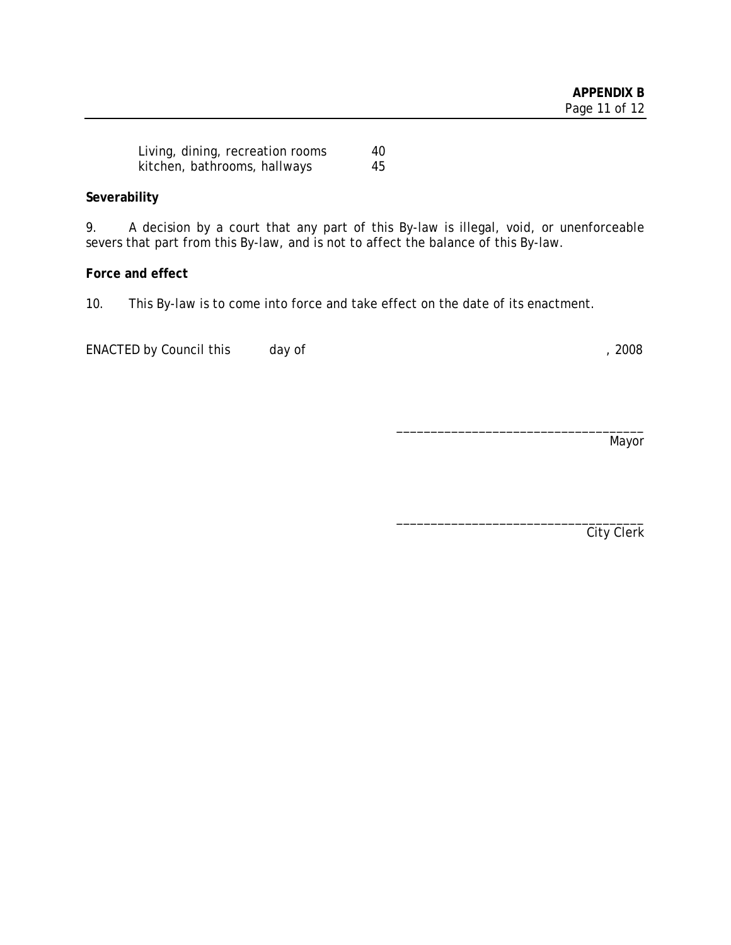| Living, dining, recreation rooms | 40. |
|----------------------------------|-----|
| kitchen, bathrooms, hallways     | 45  |

# **Severability**

9. A decision by a court that any part of this By-law is illegal, void, or unenforceable severs that part from this By-law, and is not to affect the balance of this By-law.

# **Force and effect**

10. This By-law is to come into force and take effect on the date of its enactment.

ENACTED by Council this day of the control of the control of the control of the control of the control of the control of the control of the control of the control of the control of the control of the control of the control

\_\_\_\_\_\_\_\_\_\_\_\_\_\_\_\_\_\_\_\_\_\_\_\_\_\_\_\_\_\_\_\_\_\_\_\_ Mayor

City Clerk

\_\_\_\_\_\_\_\_\_\_\_\_\_\_\_\_\_\_\_\_\_\_\_\_\_\_\_\_\_\_\_\_\_\_\_\_